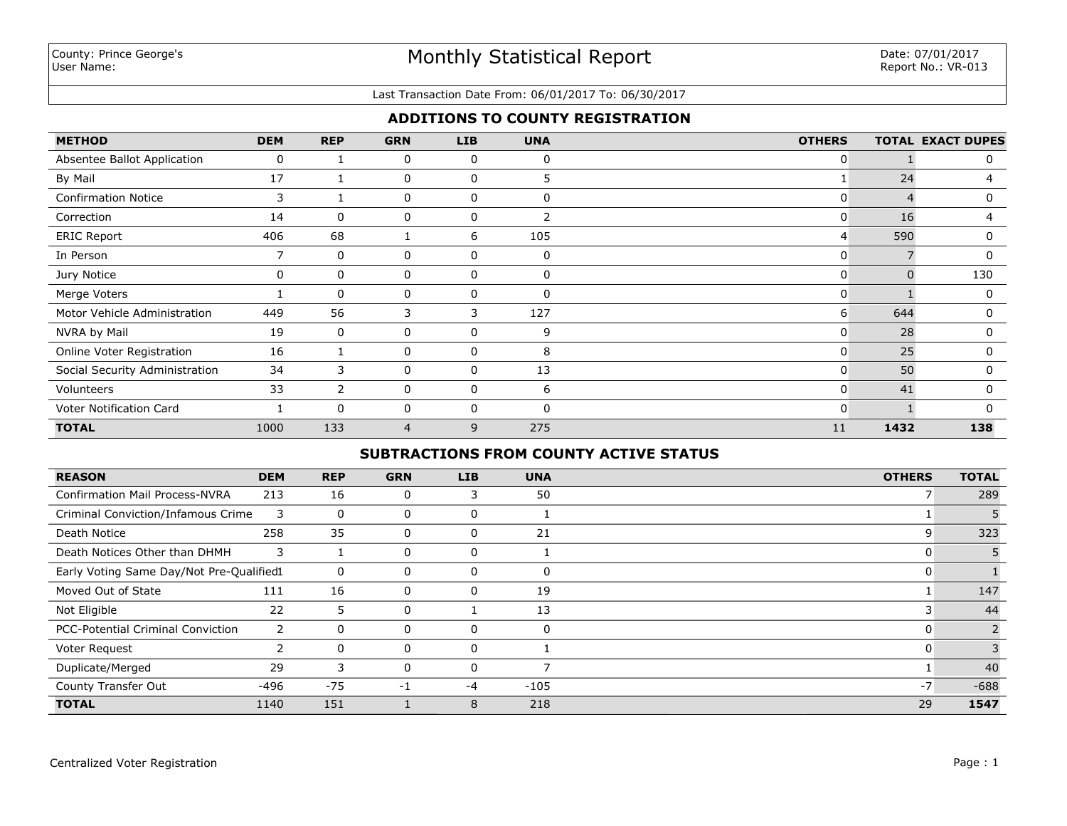### Last Transaction Date From: 06/01/2017 To: 06/30/2017

# **ADDITIONS TO COUNTY REGISTRATION**

| <b>METHOD</b>                  | <b>DEM</b> | <b>REP</b>     | <b>GRN</b> | <b>LIB</b> | <b>UNA</b>   | <b>OTHERS</b> |      | <b>TOTAL EXACT DUPES</b> |
|--------------------------------|------------|----------------|------------|------------|--------------|---------------|------|--------------------------|
| Absentee Ballot Application    | 0          |                | 0          | 0          | 0            | 0             |      | 0                        |
| By Mail                        | 17         |                | 0          | 0          | 5            |               | 24   | 4                        |
| <b>Confirmation Notice</b>     | 3          |                | 0          | 0          | 0            | 0             |      | 0                        |
| Correction                     | 14         | $\Omega$       | 0          | 0          |              | 0             | 16   | 4                        |
| <b>ERIC Report</b>             | 406        | 68             |            | 6          | 105          | 4             | 590  | 0                        |
| In Person                      | 7          | $\Omega$       | 0          | 0          | 0            | 0             |      | $\mathbf{0}$             |
| Jury Notice                    | 0          | $\Omega$       | 0          | 0          | $\Omega$     | 0             |      | 130                      |
| Merge Voters                   |            | 0              | 0          | 0          | $\Omega$     | 0             |      | 0                        |
| Motor Vehicle Administration   | 449        | 56             | 3          | 3          | 127          | 6             | 644  | $\Omega$                 |
| NVRA by Mail                   | 19         | 0              | 0          | 0          | 9            | 0             | 28   | 0                        |
| Online Voter Registration      | 16         |                | 0          | 0          | 8            | 0             | 25   | 0                        |
| Social Security Administration | 34         | 3              | 0          | 0          | 13           | 0             | 50   | $\Omega$                 |
| Volunteers                     | 33         | $\overline{2}$ | 0          | 0          | 6            | 0             | 41   | 0                        |
| Voter Notification Card        |            | $\Omega$       | 0          | 0          | $\mathsf{C}$ | 0             |      | O                        |
| <b>TOTAL</b>                   | 1000       | 133            | 4          | 9          | 275          | 11            | 1432 | 138                      |

# **SUBTRACTIONS FROM COUNTY ACTIVE STATUS**

| <b>REASON</b>                            | <b>DEM</b> | <b>REP</b> | <b>GRN</b>  | LIB          | <b>UNA</b> | <b>OTHERS</b> | <b>TOTAL</b> |
|------------------------------------------|------------|------------|-------------|--------------|------------|---------------|--------------|
| <b>Confirmation Mail Process-NVRA</b>    | 213        | 16         | $\mathbf 0$ | 3            | 50         |               | 289          |
| Criminal Conviction/Infamous Crime       | 3          | 0          | 0           | 0            |            |               |              |
| Death Notice                             | 258        | 35         | 0           | 0            | 21         | 9             | 323          |
| Death Notices Other than DHMH            | 3          |            | $\Omega$    | 0            |            |               |              |
| Early Voting Same Day/Not Pre-Qualified1 |            | 0          | 0           | 0            | 0          |               |              |
| Moved Out of State                       | 111        | 16         | 0           | 0            | 19         |               | 147          |
| Not Eligible                             | 22         | 5          | 0           |              | 13         |               | 44           |
| <b>PCC-Potential Criminal Conviction</b> |            | 0          | 0           | <sup>0</sup> | 0          | U             |              |
| Voter Request                            |            | $\Omega$   | $\Omega$    |              |            |               |              |
| Duplicate/Merged                         | 29         | 3          |             |              |            |               | 40           |
| County Transfer Out                      | -496       | $-75$      | -1          | -4           | $-105$     | $-7$          | $-688$       |
| <b>TOTAL</b>                             | 1140       | 151        |             | 8            | 218        | 29            | 1547         |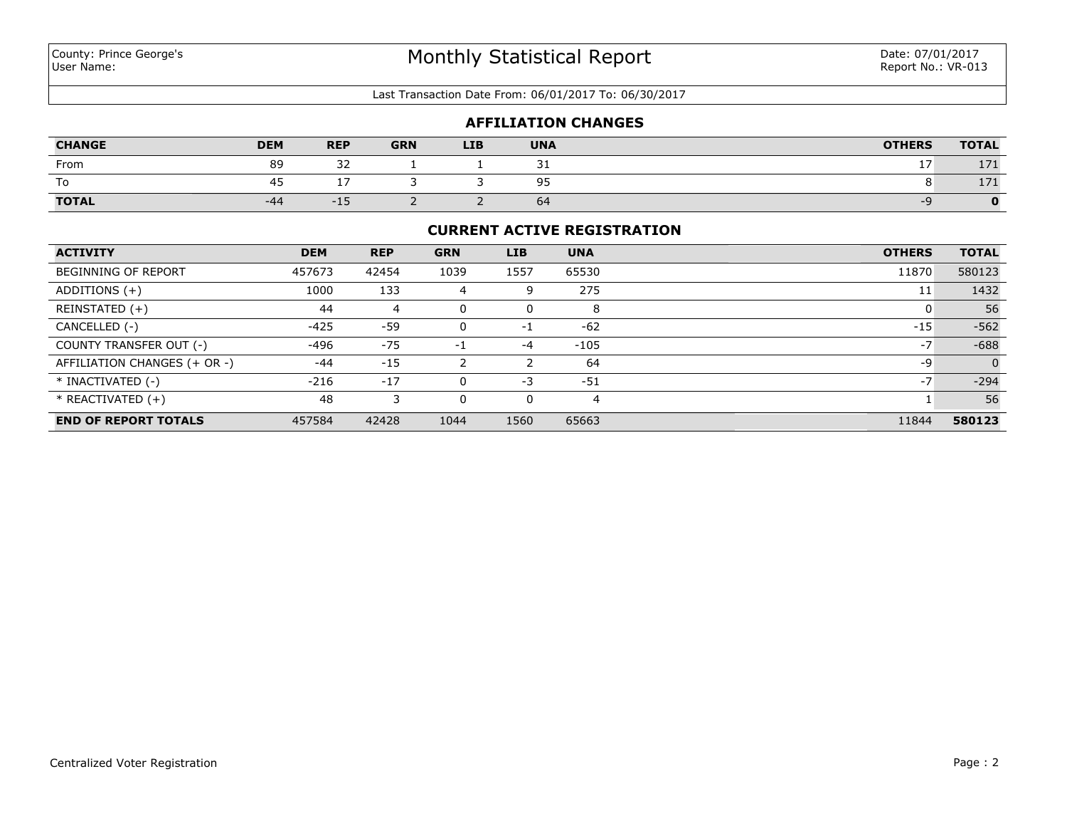Last Transaction Date From: 06/01/2017 To: 06/30/2017

### **AFFILIATION CHANGES**

| <b>CHANGE</b> | <b>DEM</b> | <b>REP</b>      | <b>GRN</b> | <b>LIB</b> | <b>UNA</b> | <b>OTHERS</b> | <b>TOTAL</b> |
|---------------|------------|-----------------|------------|------------|------------|---------------|--------------|
| From          | 89         | $\sim$<br>ے ت   |            |            | ـ ب        |               | 171          |
| To            | 45         |                 |            |            | 95         |               | 171          |
| <b>TOTAL</b>  | -44        | $-1$ $-$<br>--- | -          |            | 64         |               |              |

### **CURRENT ACTIVE REGISTRATION**

| <b>ACTIVITY</b>              | <b>DEM</b> | <b>REP</b> | <b>GRN</b> | <b>LIB</b> | <b>UNA</b> | <b>OTHERS</b> | <b>TOTAL</b> |
|------------------------------|------------|------------|------------|------------|------------|---------------|--------------|
| <b>BEGINNING OF REPORT</b>   | 457673     | 42454      | 1039       | 1557       | 65530      | 11870         | 580123       |
| ADDITIONS $(+)$              | 1000       | 133        | 4          | 9          | 275        | 11            | 1432         |
| REINSTATED (+)               | 44         | 4          | 0          |            | 8          |               | 56           |
| CANCELLED (-)                | $-425$     | -59        | 0          | $-1$       | $-62$      | $-15$         | $-562$       |
| COUNTY TRANSFER OUT (-)      | -496       | $-75$      | -1         | $-4$       | $-105$     | $-7$          | $-688$       |
| AFFILIATION CHANGES (+ OR -) | $-44$      | $-15$      |            |            | 64         | -9            | $\Omega$     |
| * INACTIVATED (-)            | $-216$     | $-17$      | 0          | $-3$       | $-51$      | $-7$          | $-294$       |
| $*$ REACTIVATED $(+)$        | 48         |            | 0          |            | 4          |               | 56           |
| <b>END OF REPORT TOTALS</b>  | 457584     | 42428      | 1044       | 1560       | 65663      | 11844         | 580123       |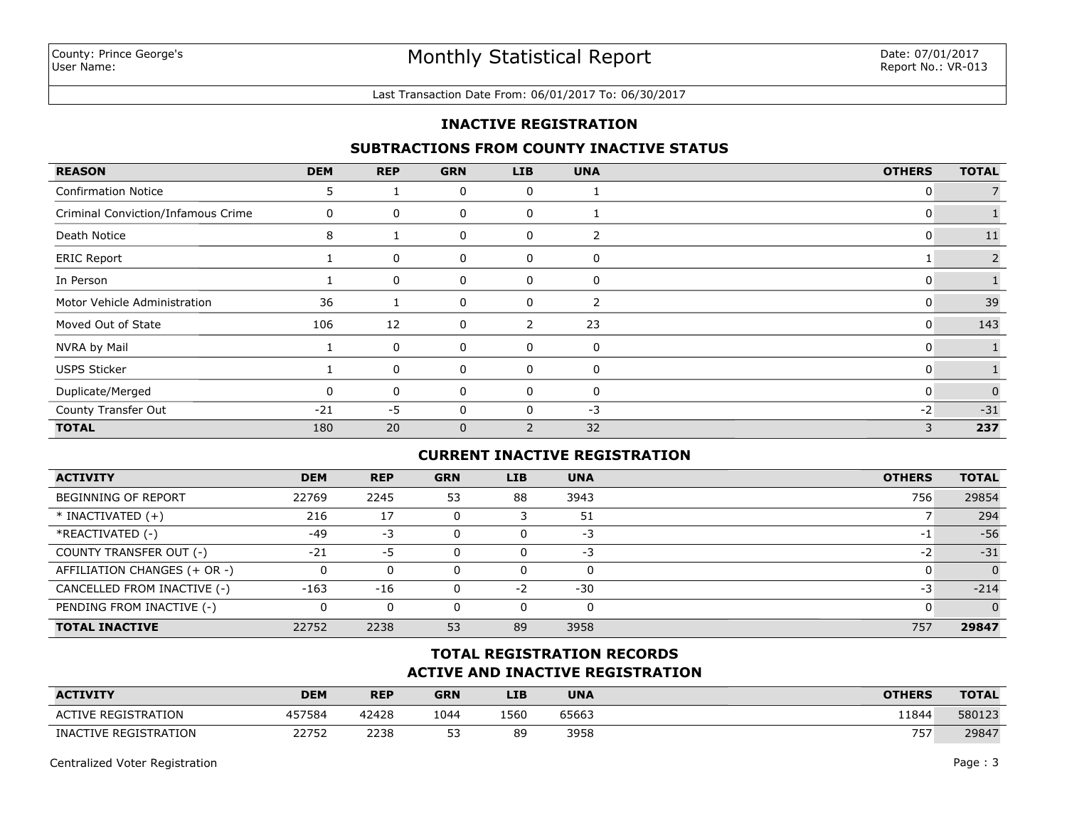#### Last Transaction Date From: 06/01/2017 To: 06/30/2017

## **INACTIVE REGISTRATION**

## **SUBTRACTIONS FROM COUNTY INACTIVE STATUS**

| <b>REASON</b>                      | <b>DEM</b> | <b>REP</b> | <b>GRN</b>   | <b>LIB</b> | <b>UNA</b> | <b>OTHERS</b> | <b>TOTAL</b> |
|------------------------------------|------------|------------|--------------|------------|------------|---------------|--------------|
| <b>Confirmation Notice</b>         | 5          |            | 0            | 0          |            | 0             |              |
| Criminal Conviction/Infamous Crime | 0          | 0          | 0            | 0          |            | U             |              |
| Death Notice                       | 8          |            | 0            | 0          | 2          | 0             | 11           |
| <b>ERIC Report</b>                 |            | 0          | 0            | 0          | 0          |               | 2            |
| In Person                          |            | 0          | 0            | 0          | 0          | 0             |              |
| Motor Vehicle Administration       | 36         |            | 0            | 0          | 2          | 0             | 39           |
| Moved Out of State                 | 106        | 12         | 0            | 2          | 23         | 0             | 143          |
| NVRA by Mail                       |            | 0          | 0            | 0          | 0          | 0             |              |
| <b>USPS Sticker</b>                |            | 0          | 0            | 0          | 0          | 0             |              |
| Duplicate/Merged                   |            | 0          | 0            | 0          | 0          | 0             | $\Omega$     |
| County Transfer Out                | $-21$      | $-5$       | 0            |            | $-3$       | $-2$          | $-31$        |
| <b>TOTAL</b>                       | 180        | 20         | $\mathbf{0}$ | 2          | 32         | 3             | 237          |

## **CURRENT INACTIVE REGISTRATION**

| <b>ACTIVITY</b>              | <b>DEM</b> | <b>REP</b> | <b>GRN</b> | <b>LIB</b> | <b>UNA</b> | <b>OTHERS</b> | <b>TOTAL</b> |
|------------------------------|------------|------------|------------|------------|------------|---------------|--------------|
| <b>BEGINNING OF REPORT</b>   | 22769      | 2245       | 53         | 88         | 3943       | 756           | 29854        |
| $*$ INACTIVATED $(+)$        | 216        | 17         |            |            | 51         |               | 294          |
| *REACTIVATED (-)             | $-49$      | -3         |            | 0          | -3         | -1            | $-56$        |
| COUNTY TRANSFER OUT (-)      | $-21$      | -5         |            | 0          | -3         | -2            | $-31$        |
| AFFILIATION CHANGES (+ OR -) |            | $\Omega$   |            | 0          | $\Omega$   |               | $\Omega$     |
| CANCELLED FROM INACTIVE (-)  | $-163$     | -16        |            | $-2$       | $-30$      | -3            | $-214$       |
| PENDING FROM INACTIVE (-)    | 0          | 0          |            | 0          | 0          |               | $\Omega$     |
| <b>TOTAL INACTIVE</b>        | 22752      | 2238       | 53         | 89         | 3958       | 757           | 29847        |

# **ACTIVE AND INACTIVE REGISTRATION TOTAL REGISTRATION RECORDS**

| <b>ACTIVITY</b>            | <b>DEM</b> | <b>REP</b> | <b>GRN</b> | <b>LIB</b> | <b>UNA</b> | <b>OTHERS</b> | <b>TOTAL</b> |
|----------------------------|------------|------------|------------|------------|------------|---------------|--------------|
| <b>ACTIVE REGISTRATION</b> | 457584     | 42428      | 1044       | 1560       | 65663      | 11844         | 580123       |
| INACTIVE REGISTRATION      | 22752      | 2238       | ᄗ<br>--    | 89         | 3958       | 757           | 29847        |